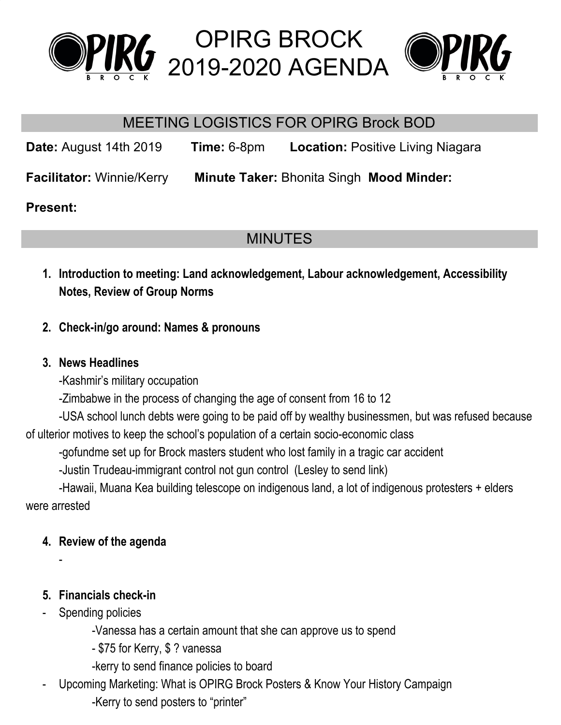

OPIRG BROCK 2019-2020 AGENDA



# MEETING LOGISTICS FOR OPIRG Brock BOD

**Date:** August 14th 2019 **Time:** 6-8pm **Location:** Positive Living Niagara **Facilitator:** Winnie/Kerry **Minute Taker:** Bhonita Singh **Mood Minder:**

#### **Present:**

# MINUTES

- **1. Introduction to meeting: Land acknowledgement, Labour acknowledgement, Accessibility Notes, Review of Group Norms**
- **2. Check-in/go around: Names & pronouns**

#### **3. News Headlines**

- -Kashmir's military occupation
- -Zimbabwe in the process of changing the age of consent from 16 to 12

-USA school lunch debts were going to be paid off by wealthy businessmen, but was refused because of ulterior motives to keep the school's population of a certain socio-economic class

-gofundme set up for Brock masters student who lost family in a tragic car accident

-Justin Trudeau-immigrant control not gun control (Lesley to send link)

-Hawaii, Muana Kea building telescope on indigenous land, a lot of indigenous protesters + elders were arrested

## **4. Review of the agenda**

## **5. Financials check-in**

Spending policies

-

- -Vanessa has a certain amount that she can approve us to spend
- \$75 for Kerry, \$ ? vanessa
- -kerry to send finance policies to board
- Upcoming Marketing: What is OPIRG Brock Posters & Know Your History Campaign -Kerry to send posters to "printer"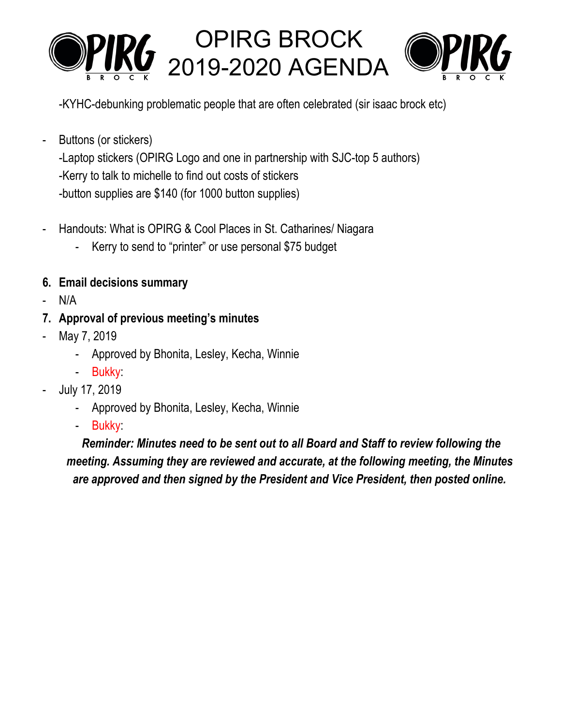

-KYHC-debunking problematic people that are often celebrated (sir isaac brock etc)

- Buttons (or stickers) -Laptop stickers (OPIRG Logo and one in partnership with SJC-top 5 authors) -Kerry to talk to michelle to find out costs of stickers -button supplies are \$140 (for 1000 button supplies)
- Handouts: What is OPIRG & Cool Places in St. Catharines/ Niagara
	- Kerry to send to "printer" or use personal \$75 budget
- **6. Email decisions summary**
- $N/A$
- **7. Approval of previous meeting's minutes**
- May 7, 2019
	- Approved by Bhonita, Lesley, Kecha, Winnie
	- Bukky:
- July 17, 2019
	- Approved by Bhonita, Lesley, Kecha, Winnie
	- Bukky:

*Reminder: Minutes need to be sent out to all Board and Staff to review following the meeting. Assuming they are reviewed and accurate, at the following meeting, the Minutes are approved and then signed by the President and Vice President, then posted online.*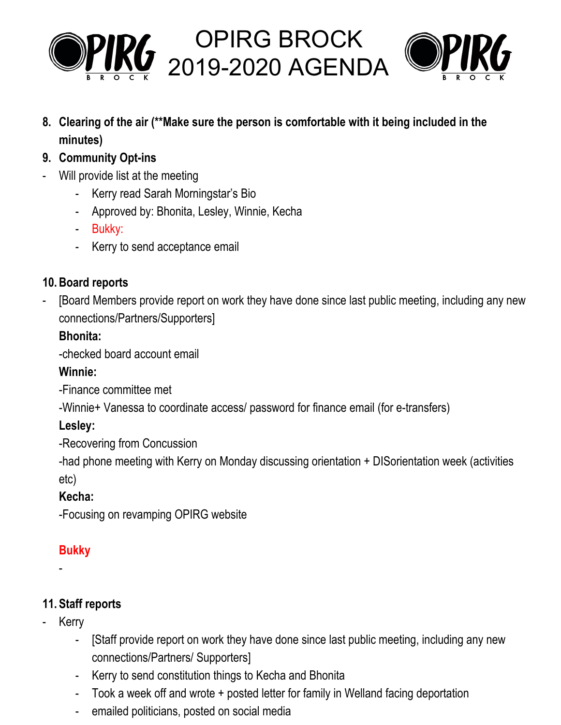



**8. Clearing of the air (\*\*Make sure the person is comfortable with it being included in the minutes)**

OPIRG BROCK

- **9. Community Opt-ins**
- Will provide list at the meeting
	- Kerry read Sarah Morningstar's Bio
	- Approved by: Bhonita, Lesley, Winnie, Kecha
	- Bukky:
	- Kerry to send acceptance email

## **10.Board reports**

- [Board Members provide report on work they have done since last public meeting, including any new connections/Partners/Supporters]

# **Bhonita:**

-checked board account email

## **Winnie:**

-Finance committee met

-Winnie+ Vanessa to coordinate access/ password for finance email (for e-transfers)

## **Lesley:**

-Recovering from Concussion

-had phone meeting with Kerry on Monday discussing orientation + DISorientation week (activities etc)

# **Kecha:**

-Focusing on revamping OPIRG website

# **Bukky**

-

# **11. Staff reports**

- **Kerry** 
	- [Staff provide report on work they have done since last public meeting, including any new connections/Partners/ Supporters]
	- Kerry to send constitution things to Kecha and Bhonita
	- Took a week off and wrote + posted letter for family in Welland facing deportation
	- emailed politicians, posted on social media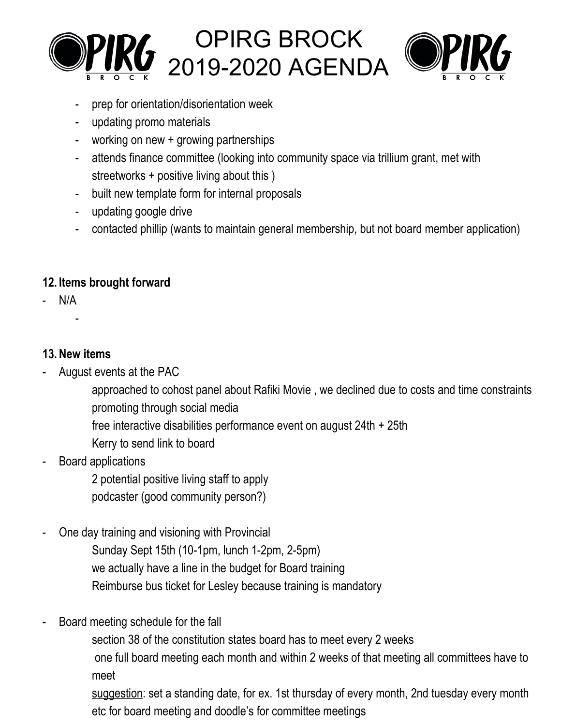



- prep for orientation/disorientation week
- updating promo materials
- working on new + growing partnerships
- attends finance committee (looking into community space via trillium grant, met with streetworks + positive living about this )
- built new template form for internal proposals
- updating google drive
- contacted phillip (wants to maintain general membership, but not board member application)

#### **12. Items brought forward**

- N/A
	- -

#### **13.New items**

- August events at the PAC
	- approached to cohost panel about Rafiki Movie , we declined due to costs and time constraints promoting through social media
	- free interactive disabilities performance event on august 24th + 25th
	- Kerry to send link to board
- Board applications
	- 2 potential positive living staff to apply
	- podcaster (good community person?)
- One day training and visioning with Provincial
	- Sunday Sept 15th (10-1pm, lunch 1-2pm, 2-5pm) we actually have a line in the budget for Board training Reimburse bus ticket for Lesley because training is mandatory
- Board meeting schedule for the fall
	- section 38 of the constitution states board has to meet every 2 weeks
	- one full board meeting each month and within 2 weeks of that meeting all committees have to meet

suggestion: set a standing date, for ex. 1st thursday of every month, 2nd tuesday every month etc for board meeting and doodle's for committee meetings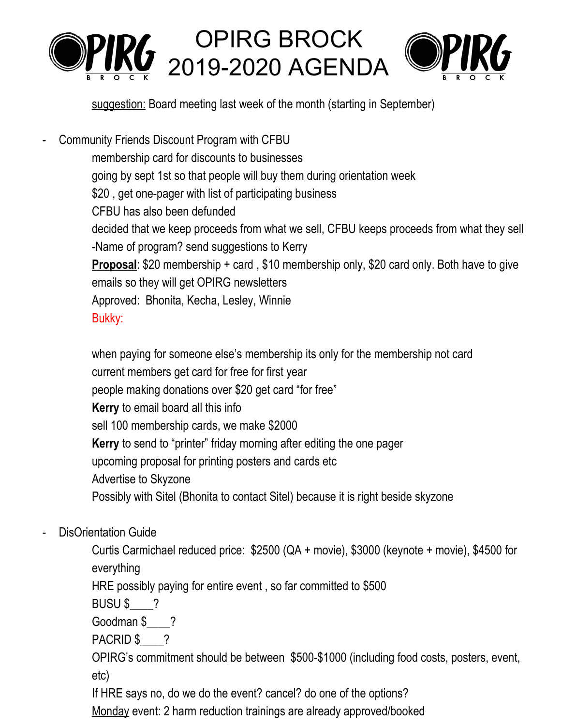

suggestion: Board meeting last week of the month (starting in September)

- Community Friends Discount Program with CFBU membership card for discounts to businesses going by sept 1st so that people will buy them during orientation week \$20, get one-pager with list of participating business CFBU has also been defunded decided that we keep proceeds from what we sell, CFBU keeps proceeds from what they sell -Name of program? send suggestions to Kerry **Proposal**: \$20 membership + card , \$10 membership only, \$20 card only. Both have to give emails so they will get OPIRG newsletters Approved: Bhonita, Kecha, Lesley, Winnie Bukky:

when paying for someone else's membership its only for the membership not card current members get card for free for first year people making donations over \$20 get card "for free" **Kerry** to email board all this info sell 100 membership cards, we make \$2000 **Kerry** to send to "printer" friday morning after editing the one pager upcoming proposal for printing posters and cards etc Advertise to Skyzone Possibly with Sitel (Bhonita to contact Sitel) because it is right beside skyzone

DisOrientation Guide

Curtis Carmichael reduced price: \$2500 (QA + movie), \$3000 (keynote + movie), \$4500 for everything

HRE possibly paying for entire event , so far committed to \$500

BUSU \$ ?

Goodman \$\_\_\_\_?

PACRID \$ ?

OPIRG's commitment should be between \$500-\$1000 (including food costs, posters, event, etc)

If HRE says no, do we do the event? cancel? do one of the options?

Monday event: 2 harm reduction trainings are already approved/booked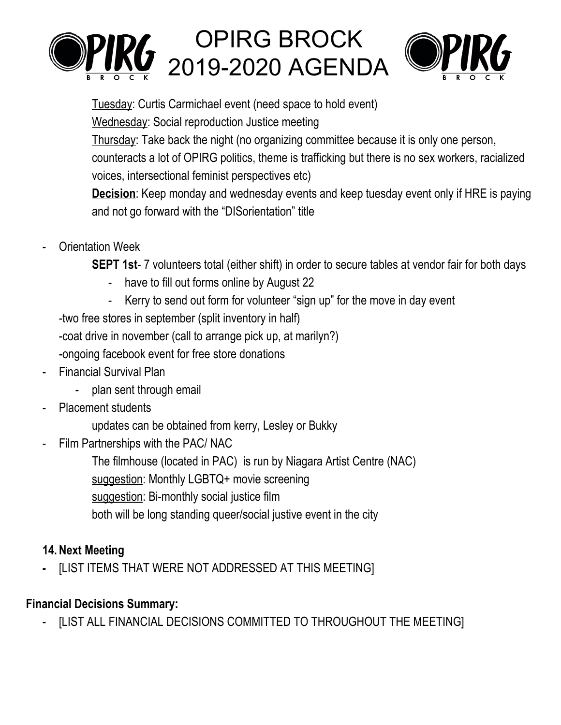

# OPIRG BROCK 2019-2020 AGENDA



Tuesday: Curtis Carmichael event (need space to hold event)

Wednesday: Social reproduction Justice meeting

Thursday: Take back the night (no organizing committee because it is only one person,

counteracts a lot of OPIRG politics, theme is trafficking but there is no sex workers, racialized voices, intersectional feminist perspectives etc)

**Decision**: Keep monday and wednesday events and keep tuesday event only if HRE is paying and not go forward with the "DISorientation" title

**Orientation Week** 

**SEPT 1st**- 7 volunteers total (either shift) in order to secure tables at vendor fair for both days

- have to fill out forms online by August 22
- Kerry to send out form for volunteer "sign up" for the move in day event

-two free stores in september (split inventory in half)

-coat drive in november (call to arrange pick up, at marilyn?)

-ongoing facebook event for free store donations

- Financial Survival Plan
	- plan sent through email
- Placement students
	- updates can be obtained from kerry, Lesley or Bukky
- Film Partnerships with the PAC/ NAC
	- The filmhouse (located in PAC) is run by Niagara Artist Centre (NAC)

suggestion: Monthly LGBTQ+ movie screening

suggestion: Bi-monthly social justice film

both will be long standing queer/social justive event in the city

# **14.Next Meeting**

**-** [LIST ITEMS THAT WERE NOT ADDRESSED AT THIS MEETING]

## **Financial Decisions Summary:**

[LIST ALL FINANCIAL DECISIONS COMMITTED TO THROUGHOUT THE MEETING]